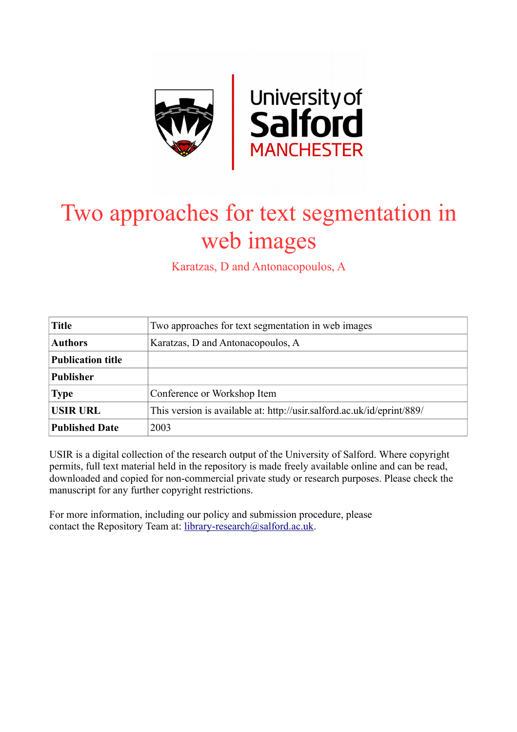

# Two approaches for text segmentation in web images

Karatzas, D and Antonacopoulos, A

| <b>Title</b>             | Two approaches for text segmentation in web images                     |  |  |  |  |  |  |  |  |
|--------------------------|------------------------------------------------------------------------|--|--|--|--|--|--|--|--|
| <b>Authors</b>           | Karatzas, D and Antonacopoulos, A                                      |  |  |  |  |  |  |  |  |
| <b>Publication title</b> |                                                                        |  |  |  |  |  |  |  |  |
| <b>Publisher</b>         |                                                                        |  |  |  |  |  |  |  |  |
| <b>Type</b>              | Conference or Workshop Item                                            |  |  |  |  |  |  |  |  |
| <b>USIR URL</b>          | This version is available at: http://usir.salford.ac.uk/id/eprint/889/ |  |  |  |  |  |  |  |  |
| <b>Published Date</b>    | 2003                                                                   |  |  |  |  |  |  |  |  |

USIR is a digital collection of the research output of the University of Salford. Where copyright permits, full text material held in the repository is made freely available online and can be read, downloaded and copied for non-commercial private study or research purposes. Please check the manuscript for any further copyright restrictions.

For more information, including our policy and submission procedure, please contact the Repository Team at: [library-research@salford.ac.uk.](mailto:library-research@salford.ac.uk)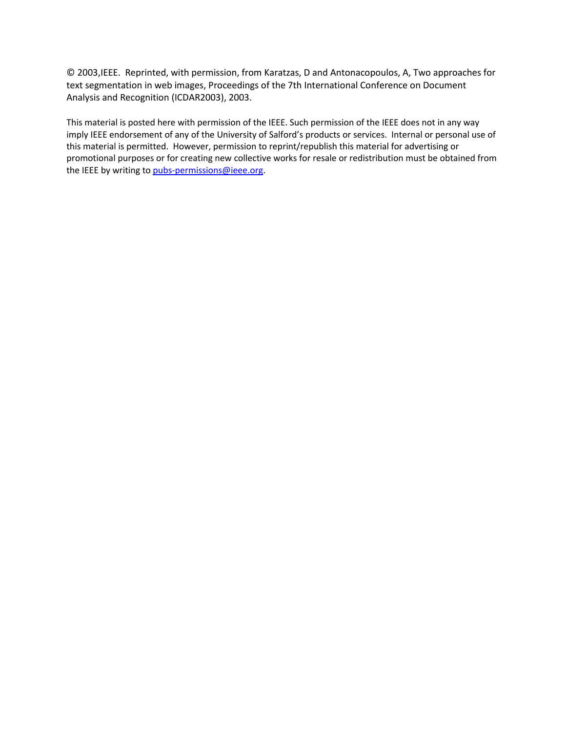© 2003,IEEE. Reprinted, with permission, from Karatzas, D and Antonacopoulos, A, Two approaches for text segmentation in web images, Proceedings of the 7th International Conference on Document Analysis and Recognition (ICDAR2003), 2003.

This material is posted here with permission of the IEEE. Such permission of the IEEE does not in any way imply IEEE endorsement of any of the University of Salford's products or services. Internal or personal use of this material is permitted. However, permission to reprint/republish this material for advertising or promotional purposes or for creating new collective works for resale or redistribution must be obtained from the IEEE by writing t[o pubs-permissions@ieee.org.](mailto:pubs-permissions@ieee.org)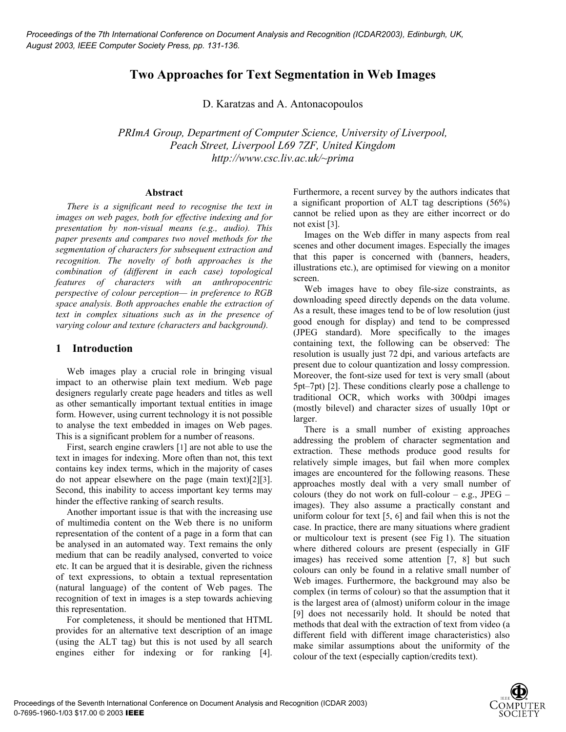*August 2003, IEEE Computer Society Press, pp. 131-136.*

## **Two Approaches for Text Segmentation in Web Images**

D. Karatzas and A. Antonacopoulos

*PRImA Group, Department of Computer Science, University of Liverpool, Peach Street, Liverpool L69 7ZF, United Kingdom http://www.csc.liv.ac.uk/~prima* 

#### **Abstract**

*There is a significant need to recognise the text in images on web pages, both for effective indexing and for presentation by non-visual means (e.g., audio). This paper presents and compares two novel methods for the segmentation of characters for subsequent extraction and recognition. The novelty of both approaches is the combination of (different in each case) topological features of characters with an anthropocentric perspective of colour perception— in preference to RGB space analysis. Both approaches enable the extraction of text in complex situations such as in the presence of varying colour and texture (characters and background).* 

#### **1 Introduction**

Web images play a crucial role in bringing visual impact to an otherwise plain text medium. Web page designers regularly create page headers and titles as well as other semantically important textual entities in image form. However, using current technology it is not possible to analyse the text embedded in images on Web pages. This is a significant problem for a number of reasons.

First, search engine crawlers [1] are not able to use the text in images for indexing. More often than not, this text contains key index terms, which in the majority of cases do not appear elsewhere on the page (main text)[2][3]. Second, this inability to access important key terms may hinder the effective ranking of search results.

Another important issue is that with the increasing use of multimedia content on the Web there is no uniform representation of the content of a page in a form that can be analysed in an automated way. Text remains the only medium that can be readily analysed, converted to voice etc. It can be argued that it is desirable, given the richness of text expressions, to obtain a textual representation (natural language) of the content of Web pages. The recognition of text in images is a step towards achieving this representation.

For completeness, it should be mentioned that HTML provides for an alternative text description of an image (using the ALT tag) but this is not used by all search engines either for indexing or for ranking [4].

Furthermore, a recent survey by the authors indicates that a significant proportion of ALT tag descriptions (56%) cannot be relied upon as they are either incorrect or do not exist [3].

Images on the Web differ in many aspects from real scenes and other document images. Especially the images that this paper is concerned with (banners, headers, illustrations etc.), are optimised for viewing on a monitor screen.

Web images have to obey file-size constraints, as downloading speed directly depends on the data volume. As a result, these images tend to be of low resolution (just good enough for display) and tend to be compressed (JPEG standard). More specifically to the images containing text, the following can be observed: The resolution is usually just 72 dpi, and various artefacts are present due to colour quantization and lossy compression. Moreover, the font-size used for text is very small (about 5pt–7pt) [2]. These conditions clearly pose a challenge to traditional OCR, which works with 300dpi images (mostly bilevel) and character sizes of usually 10pt or larger.

There is a small number of existing approaches addressing the problem of character segmentation and extraction. These methods produce good results for relatively simple images, but fail when more complex images are encountered for the following reasons. These approaches mostly deal with a very small number of colours (they do not work on full-colour – e.g., JPEG – images). They also assume a practically constant and uniform colour for text [5, 6] and fail when this is not the case. In practice, there are many situations where gradient or multicolour text is present (see Fig 1). The situation where dithered colours are present (especially in GIF images) has received some attention [7, 8] but such colours can only be found in a relative small number of Web images. Furthermore, the background may also be complex (in terms of colour) so that the assumption that it is the largest area of (almost) uniform colour in the image [9] does not necessarily hold. It should be noted that methods that deal with the extraction of text from video (a different field with different image characteristics) also make similar assumptions about the uniformity of the colour of the text (especially caption/credits text). **Process of the Transport of Conference on Documentary Conference of the 7th International Conference of the 7th International Conference of Conference of Conference of the Transport of Conference of Conference of Confer** 

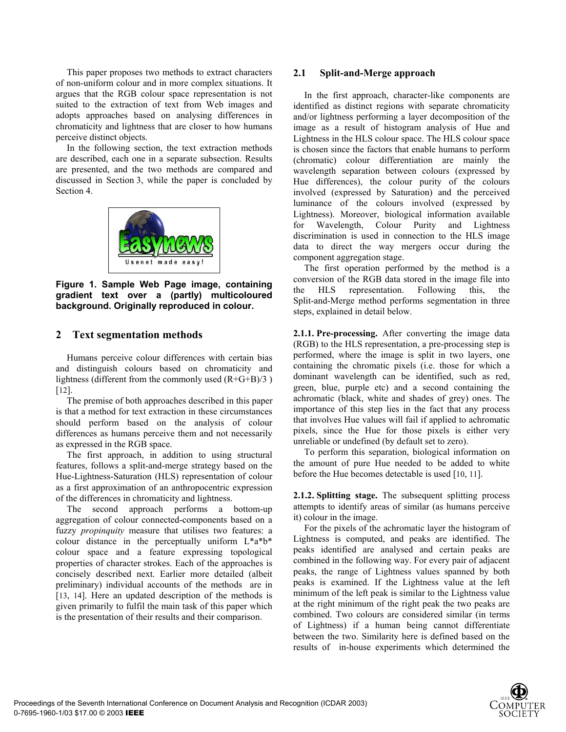This paper proposes two methods to extract characters of non-uniform colour and in more complex situations. It argues that the RGB colour space representation is not suited to the extraction of text from Web images and adopts approaches based on analysing differences in chromaticity and lightness that are closer to how humans perceive distinct objects.

In the following section, the text extraction methods are described, each one in a separate subsection. Results are presented, and the two methods are compared and discussed in Section 3, while the paper is concluded by Section 4.



**Figure 1. Sample Web Page image, containing gradient text over a (partly) multicoloured background. Originally reproduced in colour.** 

#### **2 Text segmentation methods**

Humans perceive colour differences with certain bias and distinguish colours based on chromaticity and lightness (different from the commonly used (R+G+B)/3 ) [12].

The premise of both approaches described in this paper is that a method for text extraction in these circumstances should perform based on the analysis of colour differences as humans perceive them and not necessarily as expressed in the RGB space.

The first approach, in addition to using structural features, follows a split-and-merge strategy based on the Hue-Lightness-Saturation (HLS) representation of colour as a first approximation of an anthropocentric expression of the differences in chromaticity and lightness.

The second approach performs a bottom-up aggregation of colour connected-components based on a fuzzy *propinquity* measure that utilises two features: a colour distance in the perceptually uniform L\*a\*b\* colour space and a feature expressing topological properties of character strokes. Each of the approaches is concisely described next. Earlier more detailed (albeit preliminary) individual accounts of the methods are in [13, 14]. Here an updated description of the methods is given primarily to fulfil the main task of this paper which is the presentation of their results and their comparison.

#### **2.1 Split-and-Merge approach**

In the first approach, character-like components are identified as distinct regions with separate chromaticity and/or lightness performing a layer decomposition of the image as a result of histogram analysis of Hue and Lightness in the HLS colour space. The HLS colour space is chosen since the factors that enable humans to perform (chromatic) colour differentiation are mainly the wavelength separation between colours (expressed by Hue differences), the colour purity of the colours involved (expressed by Saturation) and the perceived luminance of the colours involved (expressed by Lightness). Moreover, biological information available for Wavelength, Colour Purity and Lightness discrimination is used in connection to the HLS image data to direct the way mergers occur during the component aggregation stage.

The first operation performed by the method is a conversion of the RGB data stored in the image file into the HLS representation. Following this, the Split-and-Merge method performs segmentation in three steps, explained in detail below.

**2.1.1. Pre-processing.** After converting the image data (RGB) to the HLS representation, a pre-processing step is performed, where the image is split in two layers, one containing the chromatic pixels (i.e. those for which a dominant wavelength can be identified, such as red, green, blue, purple etc) and a second containing the achromatic (black, white and shades of grey) ones. The importance of this step lies in the fact that any process that involves Hue values will fail if applied to achromatic pixels, since the Hue for those pixels is either very unreliable or undefined (by default set to zero).

To perform this separation, biological information on the amount of pure Hue needed to be added to white before the Hue becomes detectable is used [10, 11].

**2.1.2. Splitting stage.** The subsequent splitting process attempts to identify areas of similar (as humans perceive it) colour in the image.

For the pixels of the achromatic layer the histogram of Lightness is computed, and peaks are identified. The peaks identified are analysed and certain peaks are combined in the following way. For every pair of adjacent peaks, the range of Lightness values spanned by both peaks is examined. If the Lightness value at the left minimum of the left peak is similar to the Lightness value at the right minimum of the right peak the two peaks are combined. Two colours are considered similar (in terms of Lightness) if a human being cannot differentiate between the two. Similarity here is defined based on the results of in-house experiments which determined the

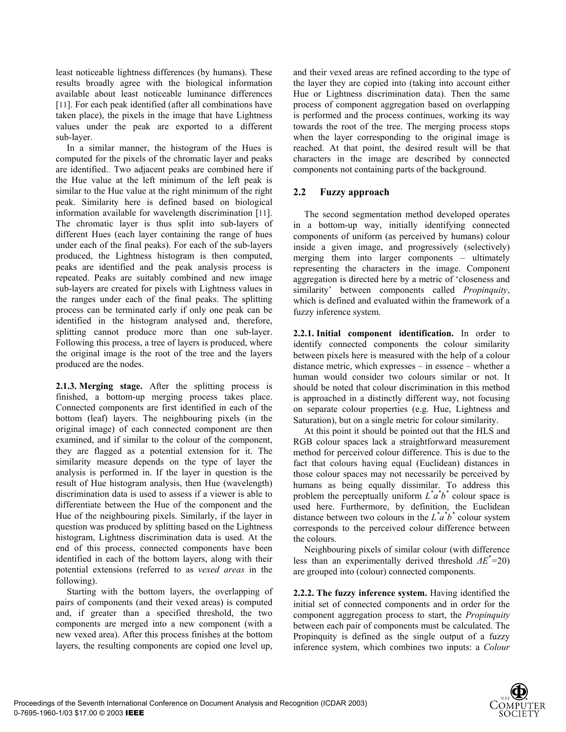least noticeable lightness differences (by humans). These results broadly agree with the biological information available about least noticeable luminance differences [11]. For each peak identified (after all combinations have taken place), the pixels in the image that have Lightness values under the peak are exported to a different sub-layer.

In a similar manner, the histogram of the Hues is computed for the pixels of the chromatic layer and peaks are identified.. Two adjacent peaks are combined here if the Hue value at the left minimum of the left peak is similar to the Hue value at the right minimum of the right peak. Similarity here is defined based on biological information available for wavelength discrimination [11]. The chromatic layer is thus split into sub-layers of different Hues (each layer containing the range of hues under each of the final peaks). For each of the sub-layers produced, the Lightness histogram is then computed, peaks are identified and the peak analysis process is repeated. Peaks are suitably combined and new image sub-layers are created for pixels with Lightness values in the ranges under each of the final peaks. The splitting process can be terminated early if only one peak can be identified in the histogram analysed and, therefore, splitting cannot produce more than one sub-layer. Following this process, a tree of layers is produced, where the original image is the root of the tree and the layers produced are the nodes.

**2.1.3. Merging stage.** After the splitting process is finished, a bottom-up merging process takes place. Connected components are first identified in each of the bottom (leaf) layers. The neighbouring pixels (in the original image) of each connected component are then examined, and if similar to the colour of the component, they are flagged as a potential extension for it. The similarity measure depends on the type of layer the analysis is performed in. If the layer in question is the result of Hue histogram analysis, then Hue (wavelength) discrimination data is used to assess if a viewer is able to differentiate between the Hue of the component and the Hue of the neighbouring pixels. Similarly, if the layer in question was produced by splitting based on the Lightness histogram, Lightness discrimination data is used. At the end of this process, connected components have been identified in each of the bottom layers, along with their potential extensions (referred to as *vexed areas* in the following).

Starting with the bottom layers, the overlapping of pairs of components (and their vexed areas) is computed and, if greater than a specified threshold, the two components are merged into a new component (with a new vexed area). After this process finishes at the bottom layers, the resulting components are copied one level up,

and their vexed areas are refined according to the type of the layer they are copied into (taking into account either Hue or Lightness discrimination data). Then the same process of component aggregation based on overlapping is performed and the process continues, working its way towards the root of the tree. The merging process stops when the layer corresponding to the original image is reached. At that point, the desired result will be that characters in the image are described by connected components not containing parts of the background.

## **2.2 Fuzzy approach**

The second segmentation method developed operates in a bottom-up way, initially identifying connected components of uniform (as perceived by humans) colour inside a given image, and progressively (selectively) merging them into larger components – ultimately representing the characters in the image. Component aggregation is directed here by a metric of 'closeness and similarity' between components called *Propinquity*, which is defined and evaluated within the framework of a fuzzy inference system.

**2.2.1. Initial component identification.** In order to identify connected components the colour similarity between pixels here is measured with the help of a colour distance metric, which expresses – in essence – whether a human would consider two colours similar or not. It should be noted that colour discrimination in this method is approached in a distinctly different way, not focusing on separate colour properties (e.g. Hue, Lightness and Saturation), but on a single metric for colour similarity.

At this point it should be pointed out that the HLS and RGB colour spaces lack a straightforward measurement method for perceived colour difference. This is due to the fact that colours having equal (Euclidean) distances in those colour spaces may not necessarily be perceived by humans as being equally dissimilar. To address this problem the perceptually uniform  $L^* a^* b^*$  colour space is used here. Furthermore, by definition, the Euclidean distance between two colours in the  $L^* a^* b^*$  colour system corresponds to the perceived colour difference between the colours.

Neighbouring pixels of similar colour (with difference less than an experimentally derived threshold *∆E\* =*20) are grouped into (colour) connected components.

**2.2.2. The fuzzy inference system.** Having identified the initial set of connected components and in order for the component aggregation process to start, the *Propinquity* between each pair of components must be calculated. The Propinquity is defined as the single output of a fuzzy inference system, which combines two inputs: a *Colour*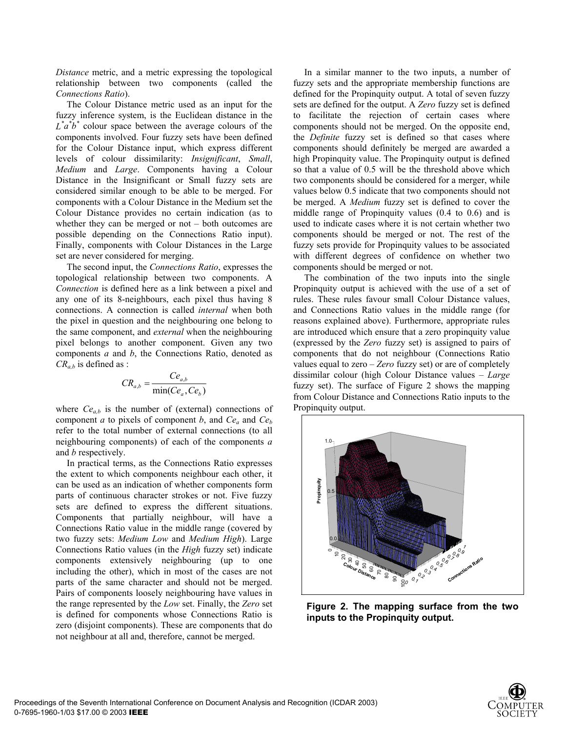*Distance* metric, and a metric expressing the topological relationship between two components (called the *Connections Ratio*).

The Colour Distance metric used as an input for the fuzzy inference system, is the Euclidean distance in the  $L^* a^* b^*$  colour space between the average colours of the components involved. Four fuzzy sets have been defined for the Colour Distance input, which express different levels of colour dissimilarity: *Insignificant*, *Small*, *Medium* and *Large*. Components having a Colour Distance in the Insignificant or Small fuzzy sets are considered similar enough to be able to be merged. For components with a Colour Distance in the Medium set the Colour Distance provides no certain indication (as to whether they can be merged or not – both outcomes are possible depending on the Connections Ratio input). Finally, components with Colour Distances in the Large set are never considered for merging.

The second input, the *Connections Ratio*, expresses the topological relationship between two components. A *Connection* is defined here as a link between a pixel and any one of its 8-neighbours, each pixel thus having 8 connections. A connection is called *internal* when both the pixel in question and the neighbouring one belong to the same component, and *external* when the neighbouring pixel belongs to another component. Given any two components *a* and *b*, the Connections Ratio, denoted as *CRa,b* is defined as :

$$
CR_{a,b} = \frac{Ce_{a,b}}{\min(Ce_a, Ce_b)}
$$

where  $Ce_{a,b}$  is the number of (external) connections of component *a* to pixels of component *b*, and *Cea* and *Ceb* refer to the total number of external connections (to all neighbouring components) of each of the components *a* and *b* respectively.

In practical terms, as the Connections Ratio expresses the extent to which components neighbour each other, it can be used as an indication of whether components form parts of continuous character strokes or not. Five fuzzy sets are defined to express the different situations. Components that partially neighbour, will have a Connections Ratio value in the middle range (covered by two fuzzy sets: *Medium Low* and *Medium High*). Large Connections Ratio values (in the *High* fuzzy set) indicate components extensively neighbouring (up to one including the other), which in most of the cases are not parts of the same character and should not be merged. Pairs of components loosely neighbouring have values in the range represented by the *Low* set. Finally, the *Zero* set is defined for components whose Connections Ratio is zero (disjoint components). These are components that do not neighbour at all and, therefore, cannot be merged.

In a similar manner to the two inputs, a number of fuzzy sets and the appropriate membership functions are defined for the Propinquity output. A total of seven fuzzy sets are defined for the output. A *Zero* fuzzy set is defined to facilitate the rejection of certain cases where components should not be merged. On the opposite end, the *Definite* fuzzy set is defined so that cases where components should definitely be merged are awarded a high Propinquity value. The Propinquity output is defined so that a value of 0.5 will be the threshold above which two components should be considered for a merger, while values below 0.5 indicate that two components should not be merged. A *Medium* fuzzy set is defined to cover the middle range of Propinquity values (0.4 to 0.6) and is used to indicate cases where it is not certain whether two components should be merged or not. The rest of the fuzzy sets provide for Propinquity values to be associated with different degrees of confidence on whether two components should be merged or not.

The combination of the two inputs into the single Propinquity output is achieved with the use of a set of rules. These rules favour small Colour Distance values, and Connections Ratio values in the middle range (for reasons explained above). Furthermore, appropriate rules are introduced which ensure that a zero propinquity value (expressed by the *Zero* fuzzy set) is assigned to pairs of components that do not neighbour (Connections Ratio values equal to zero – *Zero* fuzzy set) or are of completely dissimilar colour (high Colour Distance values – *Large* fuzzy set). The surface of Figure 2 shows the mapping from Colour Distance and Connections Ratio inputs to the Propinquity output.



**Figure 2. The mapping surface from the two inputs to the Propinquity output.** 

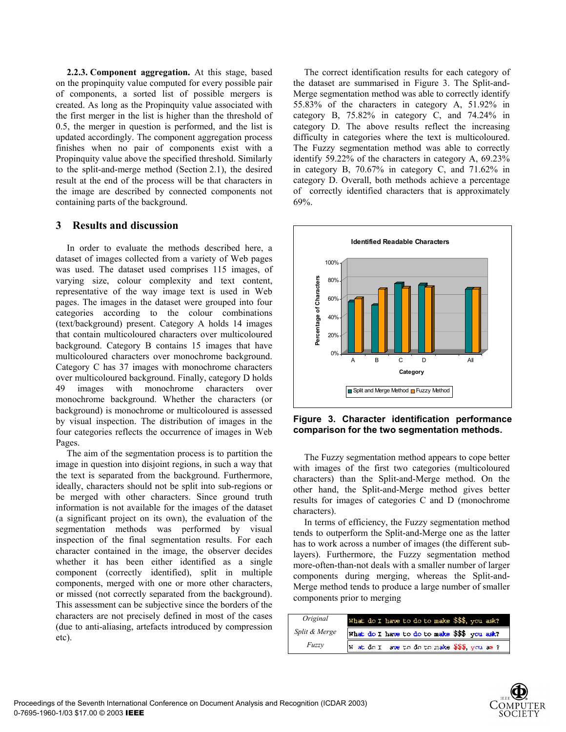**2.2.3. Component aggregation.** At this stage, based on the propinquity value computed for every possible pair of components, a sorted list of possible mergers is created. As long as the Propinquity value associated with the first merger in the list is higher than the threshold of 0.5, the merger in question is performed, and the list is updated accordingly. The component aggregation process finishes when no pair of components exist with a Propinquity value above the specified threshold. Similarly to the split-and-merge method (Section 2.1), the desired result at the end of the process will be that characters in the image are described by connected components not containing parts of the background.

#### **3 Results and discussion**

In order to evaluate the methods described here, a dataset of images collected from a variety of Web pages was used. The dataset used comprises 115 images, of varying size, colour complexity and text content, representative of the way image text is used in Web pages. The images in the dataset were grouped into four categories according to the colour combinations (text/background) present. Category A holds 14 images that contain multicoloured characters over multicoloured background. Category B contains 15 images that have multicoloured characters over monochrome background. Category C has 37 images with monochrome characters over multicoloured background. Finally, category D holds 49 images with monochrome characters over monochrome background. Whether the characters (or background) is monochrome or multicoloured is assessed by visual inspection. The distribution of images in the four categories reflects the occurrence of images in Web Pages.

The aim of the segmentation process is to partition the image in question into disjoint regions, in such a way that the text is separated from the background. Furthermore, ideally, characters should not be split into sub-regions or be merged with other characters. Since ground truth information is not available for the images of the dataset (a significant project on its own), the evaluation of the segmentation methods was performed by visual inspection of the final segmentation results. For each character contained in the image, the observer decides whether it has been either identified as a single component (correctly identified), split in multiple components, merged with one or more other characters, or missed (not correctly separated from the background). This assessment can be subjective since the borders of the characters are not precisely defined in most of the cases (due to anti-aliasing, artefacts introduced by compression etc).

The correct identification results for each category of the dataset are summarised in Figure 3. The Split-and-Merge segmentation method was able to correctly identify 55.83% of the characters in category A, 51.92% in category B, 75.82% in category C, and 74.24% in category D. The above results reflect the increasing difficulty in categories where the text is multicoloured. The Fuzzy segmentation method was able to correctly identify 59.22% of the characters in category A, 69.23% in category B, 70.67% in category C, and 71.62% in category D. Overall, both methods achieve a percentage of correctly identified characters that is approximately 69%.



**Figure 3. Character identification performance comparison for the two segmentation methods.** 

The Fuzzy segmentation method appears to cope better with images of the first two categories (multicoloured characters) than the Split-and-Merge method. On the other hand, the Split-and-Merge method gives better results for images of categories C and D (monochrome characters).

In terms of efficiency, the Fuzzy segmentation method tends to outperform the Split-and-Merge one as the latter has to work across a number of images (the different sublayers). Furthermore, the Fuzzy segmentation method more-often-than-not deals with a smaller number of larger components during merging, whereas the Split-and-Merge method tends to produce a large number of smaller components prior to merging

| Original      |  |  |  |  | What do I have to do to make \$\$\$, you ask? |  |  |
|---------------|--|--|--|--|-----------------------------------------------|--|--|
| Split & Merge |  |  |  |  | What do I have to do to make \$\$\$ you ask?  |  |  |
| Fuzzy         |  |  |  |  | W at do I ave to do to make \$\$\$, you as ?  |  |  |

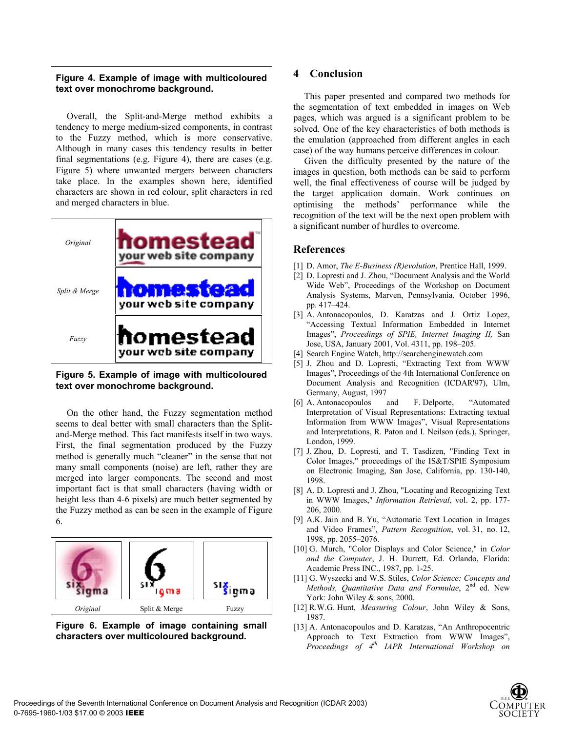#### **Figure 4. Example of image with multicoloured text over monochrome background.**

Overall, the Split-and-Merge method exhibits a tendency to merge medium-sized components, in contrast to the Fuzzy method, which is more conservative. Although in many cases this tendency results in better final segmentations (e.g. Figure 4), there are cases (e.g. Figure 5) where unwanted mergers between characters take place. In the examples shown here, identified characters are shown in red colour, split characters in red and merged characters in blue.



**Figure 5. Example of image with multicoloured text over monochrome background.** 

On the other hand, the Fuzzy segmentation method seems to deal better with small characters than the Splitand-Merge method. This fact manifests itself in two ways. First, the final segmentation produced by the Fuzzy method is generally much "cleaner" in the sense that not many small components (noise) are left, rather they are merged into larger components. The second and most important fact is that small characters (having width or height less than 4-6 pixels) are much better segmented by the Fuzzy method as can be seen in the example of Figure 6.



**Figure 6. Example of image containing small characters over multicoloured background.** 

## **4 Conclusion**

This paper presented and compared two methods for the segmentation of text embedded in images on Web pages, which was argued is a significant problem to be solved. One of the key characteristics of both methods is the emulation (approached from different angles in each case) of the way humans perceive differences in colour.

Given the difficulty presented by the nature of the images in question, both methods can be said to perform well, the final effectiveness of course will be judged by the target application domain. Work continues on optimising the methods' performance while the recognition of the text will be the next open problem with a significant number of hurdles to overcome.

#### **References**

- [1] D. Amor, *The E-Business (R)evolution*, Prentice Hall, 1999.
- [2] D. Lopresti and J. Zhou, "Document Analysis and the World Wide Web", Proceedings of the Workshop on Document Analysis Systems, Marven, Pennsylvania, October 1996, pp. 417–424.
- [3] A. Antonacopoulos, D. Karatzas and J. Ortiz Lopez, "Accessing Textual Information Embedded in Internet Images", *Proceedings of SPIE, Internet Imaging II,* San Jose, USA, January 2001, Vol. 4311, pp. 198–205.
- [4] Search Engine Watch, http://searchenginewatch.com
- [5] J. Zhou and D. Lopresti, "Extracting Text from WWW Images", Proceedings of the 4th International Conference on Document Analysis and Recognition (ICDAR'97), Ulm, Germany, August, 1997
- [6] A. Antonacopoulos and F. Delporte, "Automated Interpretation of Visual Representations: Extracting textual Information from WWW Images", Visual Representations and Interpretations, R. Paton and I. Neilson (eds.), Springer, London, 1999.
- [7] J. Zhou, D. Lopresti, and T. Tasdizen, "Finding Text in Color Images," proceedings of the IS&T/SPIE Symposium on Electronic Imaging, San Jose, California, pp. 130-140, 1998.
- [8] A. D. Lopresti and J. Zhou, "Locating and Recognizing Text" in WWW Images," *Information Retrieval*, vol. 2, pp. 177- 206, 2000.
- [9] A.K. Jain and B. Yu, "Automatic Text Location in Images and Video Frames", *Pattern Recognition*, vol. 31, no. 12, 1998, pp. 2055–2076.
- [10] G. Murch, "Color Displays and Color Science," in *Color and the Computer*, J. H. Durrett, Ed. Orlando, Florida: Academic Press INC., 1987, pp. 1-25.
- [11] G. Wyszecki and W.S. Stiles, *Color Science: Concepts and Methods, Quantitative Data and Formulae*, 2<sup>nd</sup> ed. New York: John Wiley & sons, 2000.
- [12] R.W.G. Hunt, *Measuring Colour*, John Wiley & Sons, 1987.
- [13] A. Antonacopoulos and D. Karatzas, "An Anthropocentric Approach to Text Extraction from WWW Images", *Proceedings of 4th IAPR International Workshop on*